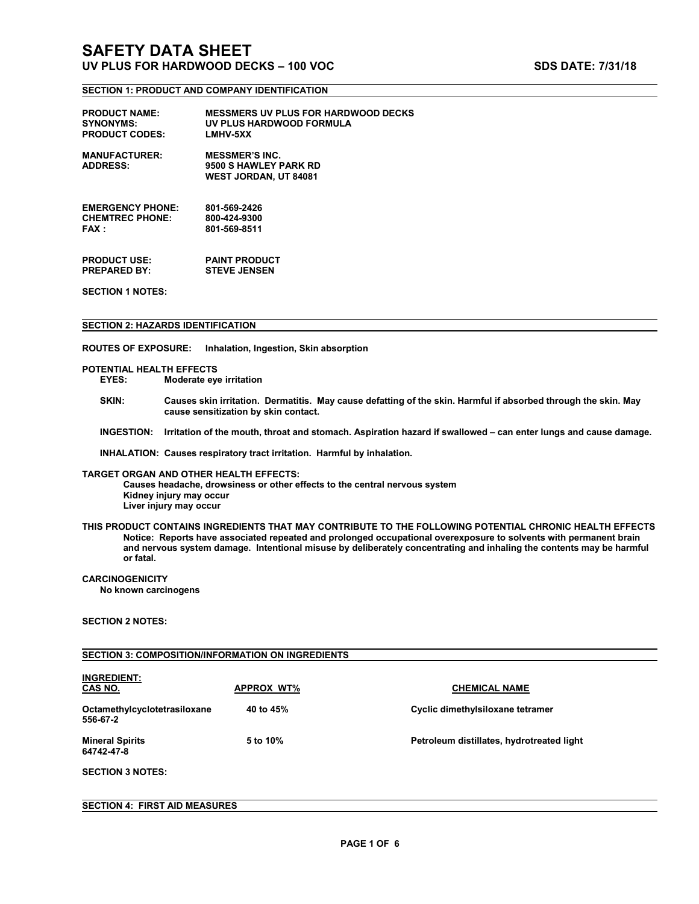### **SECTION 1: PRODUCT AND COMPANY IDENTIFICATION**

| <b>PRODUCT NAME:</b>                    | <b>MESSMERS UV PLUS FOR HARDWOOD DECKS</b>                                     |
|-----------------------------------------|--------------------------------------------------------------------------------|
| <b>SYNONYMS:</b>                        | UV PLUS HARDWOOD FORMULA                                                       |
| <b>PRODUCT CODES:</b>                   | <b>LMHV-5XX</b>                                                                |
| <b>MANUFACTURER:</b><br><b>ADDRESS:</b> | <b>MESSMER'S INC.</b><br>9500 S HAWLEY PARK RD<br><b>WEST JORDAN, UT 84081</b> |
| <b>EMERGENCY PHONE:</b>                 | 801-569-2426                                                                   |
| <b>CHEMTREC PHONE:</b>                  | 800-424-9300                                                                   |
| <b>FAX</b> :                            | 801-569-8511                                                                   |
| <b>PRODUCT USE:</b>                     | <b>PAINT PRODUCT</b>                                                           |
| <b>PREPARED BY:</b>                     | <b>STEVE JENSEN</b>                                                            |

**SECTION 1 NOTES:**

#### **SECTION 2: HAZARDS IDENTIFICATION**

**ROUTES OF EXPOSURE: Inhalation, Ingestion, Skin absorption**

# **POTENTIAL HEALTH EFFECTS**

**EYES: Moderate eye irritation**

- SKIN: Causes skin irritation. Dermatitis. May cause defatting of the skin. Harmful if absorbed through the skin. May **cause sensitization by skin contact.**
- INGESTION: Irritation of the mouth, throat and stomach. Aspiration hazard if swallowed can enter lungs and cause damage.

**INHALATION: Causes respiratory tract irritation. Harmful by inhalation.TARGET ORGAN AND OTHER HEALTH EFFECTS:**

**Causes headache, drowsiness or other effects to the central nervous system Kidney injury may occur Liver injury may occur**

**THIS PRODUCT CONTAINS INGREDIENTS THAT MAY CONTRIBUTE TO THE FOLLOWING POTENTIAL CHRONIC HEALTH EFFECTS Notice: Reports have associated repeated and prolonged occupationaloverexposure to solvents with permanent brain** and nervous system damage. Intentional misuse by deliberately concentrating and inhaling the contents may be harmful<br>or fatal.

### **CARCINOGENICITY**

**No known carcinogens**

### **SECTION 2 NOTES:**

### **SECTION 3: COMPOSITION/INFORMATION ON INGREDIENTS**

| <b>INGREDIENT:</b><br>CAS NO.            | <b>APPROX WT%</b> | <b>CHEMICAL NAME</b>                      |
|------------------------------------------|-------------------|-------------------------------------------|
| Octamethylcyclotetrasiloxane<br>556-67-2 | 40 to 45%         | Cyclic dimethylsiloxane tetramer          |
| <b>Mineral Spirits</b><br>64742-47-8     | 5 to 10%          | Petroleum distillates, hydrotreated light |
| <b>SECTION 3 NOTES:</b>                  |                   |                                           |

### **SECTION 4: FIRST AID MEASURES**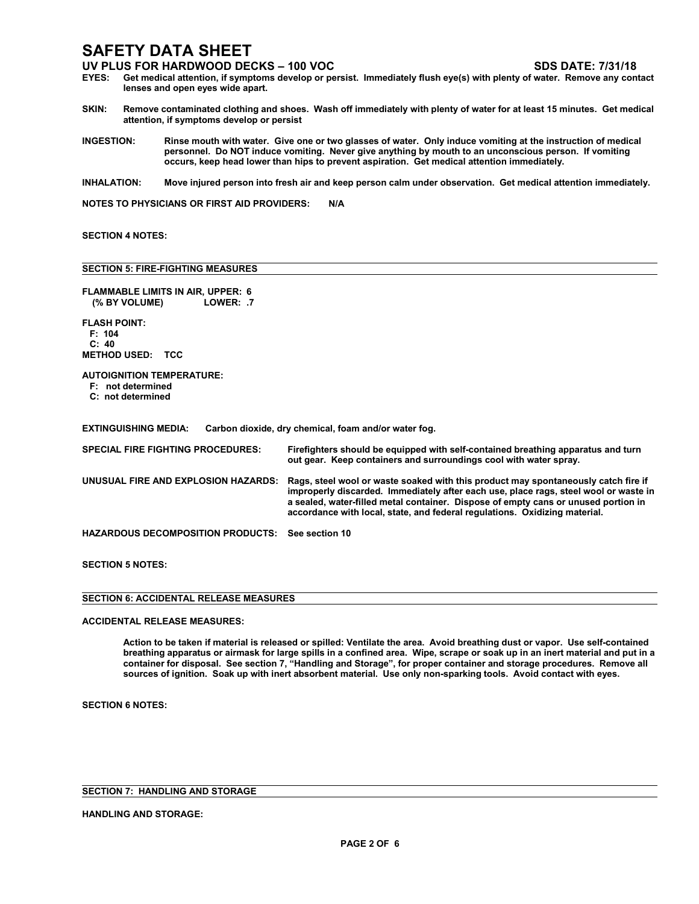### **SAFETY DATA SHEET**

- **UV PLUS FOR HARDWOOD DECKS – 100 VOC SDS DATE: 7/31/18** Get medical attention, if symptoms develop or persist. Immediately flush eye(s) with plenty of water. Remove any contact **lenses and open eyes wide apart.**
- SKIN: Remove contaminated clothing and shoes. Wash off immediately with plenty of water for at least 15 minutes. Get medical **attention, if symptoms develop or persist**
- INGESTION: Rinse mouth with water. Give one or two glasses of water. Only induce vomiting at the instruction of medical **personnel. Do NOT induce vomiting. Never give anything by mouth to an unconscious person. If vomiting occurs, keep head lower than hips to prevent aspiration. Get medical attention immediately.**
- INHALATION: Move injured person into fresh air and keep person calm under observation. Get medical attention immediately.

**NOTES TO PHYSICIANS OR FIRST AID PROVIDERS: N/A**

### **SECTION 4 NOTES:**

### **SECTION 5: FIRE-FIGHTING MEASURES**

| <b>FLAMMABLE LIMITS IN AIR, UPPER: 6</b><br>(% BY VOLUME)<br>LOWER: .7     |                                                                                                                                                                                                                                                                                                                                                |
|----------------------------------------------------------------------------|------------------------------------------------------------------------------------------------------------------------------------------------------------------------------------------------------------------------------------------------------------------------------------------------------------------------------------------------|
| <b>FLASH POINT:</b><br>F: 104<br>C: 40<br><b>METHOD USED:</b><br>TCC       |                                                                                                                                                                                                                                                                                                                                                |
| <b>AUTOIGNITION TEMPERATURE:</b><br>F: not determined<br>C: not determined |                                                                                                                                                                                                                                                                                                                                                |
| <b>EXTINGUISHING MEDIA:</b>                                                | Carbon dioxide, dry chemical, foam and/or water fog.                                                                                                                                                                                                                                                                                           |
| <b>SPECIAL FIRE FIGHTING PROCEDURES:</b>                                   | Firefighters should be equipped with self-contained breathing apparatus and turn<br>out gear. Keep containers and surroundings cool with water spray.                                                                                                                                                                                          |
| UNUSUAL FIRE AND EXPLOSION HAZARDS:                                        | Rags, steel wool or waste soaked with this product may spontaneously catch fire if<br>improperly discarded. Immediately after each use, place rags, steel wool or waste in<br>a sealed, water-filled metal container. Dispose of empty cans or unused portion in<br>accordance with local, state, and federal regulations. Oxidizing material. |
| <b>HAZARDOUS DECOMPOSITION PRODUCTS:</b>                                   | See section 10                                                                                                                                                                                                                                                                                                                                 |
| AFATIAN ENATEA                                                             |                                                                                                                                                                                                                                                                                                                                                |

**SECTION 5 NOTES:**

| <b>SECTION 6: ACCIDENTAL RELEASE MEASURES</b> |  |
|-----------------------------------------------|--|

### **ACCIDENTAL RELEASE MEASURES:**

Action to be taken if material is released or spilled: Ventilate the area. Avoid breathing dust or vapor. Use self-contained breathing apparatus or airmask for large spills in a confined area. Wipe, scrape or soak up in an inert material and put in a container for disposal. See section 7, "Handling and Storage", for proper container and storage procedures. Remove all **sources of ignition.Soak up with inert absorbent material. Use only non-sparking tools. Avoid contact with eyes.**

**SECTION 6 NOTES:**

**SECTION 7: HANDLING AND STORAGE**

### **HANDLING AND STORAGE:**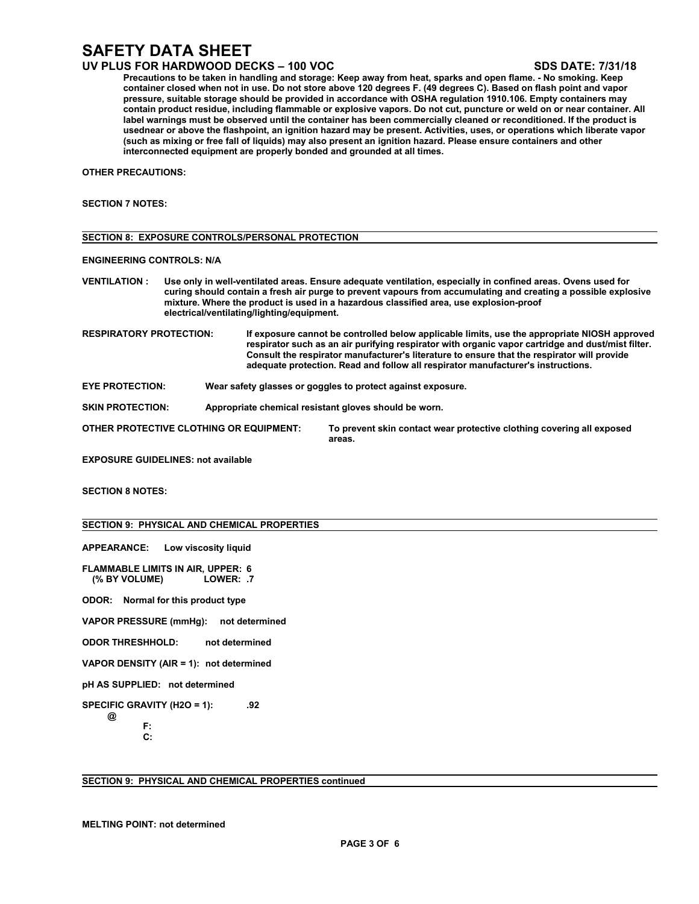## **SAFETY DATA SHEET**

### **UV PLUS FOR HARDWOOD DECKS – 100 VOC SDS DATE: 7/31/18**

Precautions to be taken in handling and storage: Keep away from heat, sparks and open flame. - No smoking. Keep container closed when not in use. Do not store above 120 degrees F. (49 degrees C). Based on flash point and vapor **pressure, suitable storage should be provided in accordance with OSHA regulation 1910.106. Empty containers may** contain product residue, including flammable or explosive vapors. Do not cut, puncture or weld on or near container. All label warnings must be observed until the container has been commercially cleaned or reconditioned. If the product is usednear or above the flashpoint, an ignition hazard may be present. Activities, uses, or operations which liberate vapor (such as mixing or free fall of liquids) may also present an ignition hazard. Please ensure containers and other **interconnected equipmentare properly bonded and grounded at all times.**

**OTHER PRECAUTIONS:**

### **SECTION 7 NOTES:**

|                                  | <b>SECTION 8: EXPOSURE CONTROLS/PERSONAL PROTECTION</b>                                                                                                                                                                                                                                                                                                                |                                                                                                                                                                                                                                                                                                                                                                                      |  |  |  |
|----------------------------------|------------------------------------------------------------------------------------------------------------------------------------------------------------------------------------------------------------------------------------------------------------------------------------------------------------------------------------------------------------------------|--------------------------------------------------------------------------------------------------------------------------------------------------------------------------------------------------------------------------------------------------------------------------------------------------------------------------------------------------------------------------------------|--|--|--|
| <b>ENGINEERING CONTROLS: N/A</b> |                                                                                                                                                                                                                                                                                                                                                                        |                                                                                                                                                                                                                                                                                                                                                                                      |  |  |  |
| <b>VENTILATION:</b>              | Use only in well-ventilated areas. Ensure adequate ventilation, especially in confined areas. Ovens used for<br>curing should contain a fresh air purge to prevent vapours from accumulating and creating a possible explosive<br>mixture. Where the product is used in a hazardous classified area, use explosion-proof<br>electrical/ventilating/lighting/equipment. |                                                                                                                                                                                                                                                                                                                                                                                      |  |  |  |
| <b>RESPIRATORY PROTECTION:</b>   |                                                                                                                                                                                                                                                                                                                                                                        | If exposure cannot be controlled below applicable limits, use the appropriate NIOSH approved<br>respirator such as an air purifying respirator with organic vapor cartridge and dust/mist filter.<br>Consult the respirator manufacturer's literature to ensure that the respirator will provide<br>adequate protection. Read and follow all respirator manufacturer's instructions. |  |  |  |

**EYE PROTECTION: Wear safety glasses or goggles to protect against exposure.**

**SKIN PROTECTION: Appropriate chemical resistant gloves should be worn.**

**OTHER PROTECTIVE CLOTHING OR EQUIPMENT: To prevent skin contact wear protective clothing covering all exposed areas.**

**EXPOSURE GUIDELINES: not available**

**SECTION 8 NOTES:**

### **SECTION 9: PHYSICAL AND CHEMICAL PROPERTIES**

**APPEARANCE: Low viscosity liquid**

**FLAMMABLE LIMITS IN AIR, UPPER: 6 (% BY VOLUME) LOWER: .7**

**ODOR: Normal for this product type**

**VAPOR PRESSURE (mmHg): not determined**

**ODOR THRESHHOLD: not determined**

**VAPOR DENSITY (AIR = 1): not determined**

**pH AS SUPPLIED: not determined**

**SPECIFIC GRAVITY (H2O = 1): .92 @**

**F:**

**C:**

**SECTION 9: PHYSICAL AND CHEMICAL PROPERTIES continued**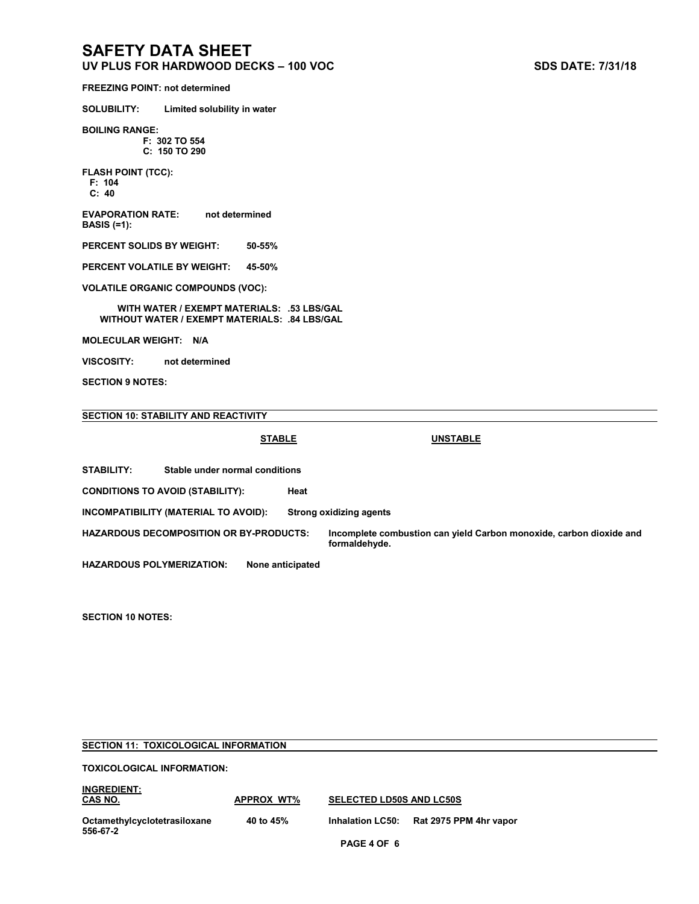## **SAFETY DATA SHEET**

**UV PLUS FOR HARDWOOD DECKS – 100 VOC SDS DATE: 7/31/18**

**FREEZING POINT: not determined**

**SOLUBILITY: Limited solubility in water**

**BOILING RANGE: F: 302 TO 554 C: 150 TO 290**

**FLASH POINT (TCC):**

**F: 104 C: 40**

**EVAPORATION RATE: not determined BASIS (=1):**

**PERCENT SOLIDS BY WEIGHT: 50-55%**

**PERCENT VOLATILE BY WEIGHT: 45-50%**

**VOLATILE ORGANIC COMPOUNDS (VOC):**

**WITH WATER / EXEMPT MATERIALS: .53 LBS/GAL WITHOUT WATER / EXEMPT MATERIALS: .84 LBS/GAL**

**MOLECULAR WEIGHT: N/A**

**VISCOSITY: not determined**

**SECTION 9 NOTES:**

### **SECTION 10: STABILITY AND REACTIVITY**

**STABLE UNSTABLE**

**STABILITY: Stable under normal conditions**

**CONDITIONS TO AVOID (STABILITY): Heat**

**INCOMPATIBILITY (MATERIAL TO AVOID): Strong oxidizing agents**

**HAZARDOUS DECOMPOSITION OR BY-PRODUCTS: Incomplete combustion can yield Carbon monoxide, carbon dioxide and formaldehyde.**

**HAZARDOUS POLYMERIZATION: None anticipated**

**SECTION 10 NOTES:**

### **SECTION 11: TOXICOLOGICAL INFORMATION**

**TOXICOLOGICAL INFORMATION:**

**PAGE 4 OF 6 INGREDIENT: CAS NO. APPROX WT% SELECTED LD50S AND LC50S Octamethylcyclotetrasiloxane 40 to 45% Inhalation LC50: Rat 2975 PPM 4hr vapor 556-67-2**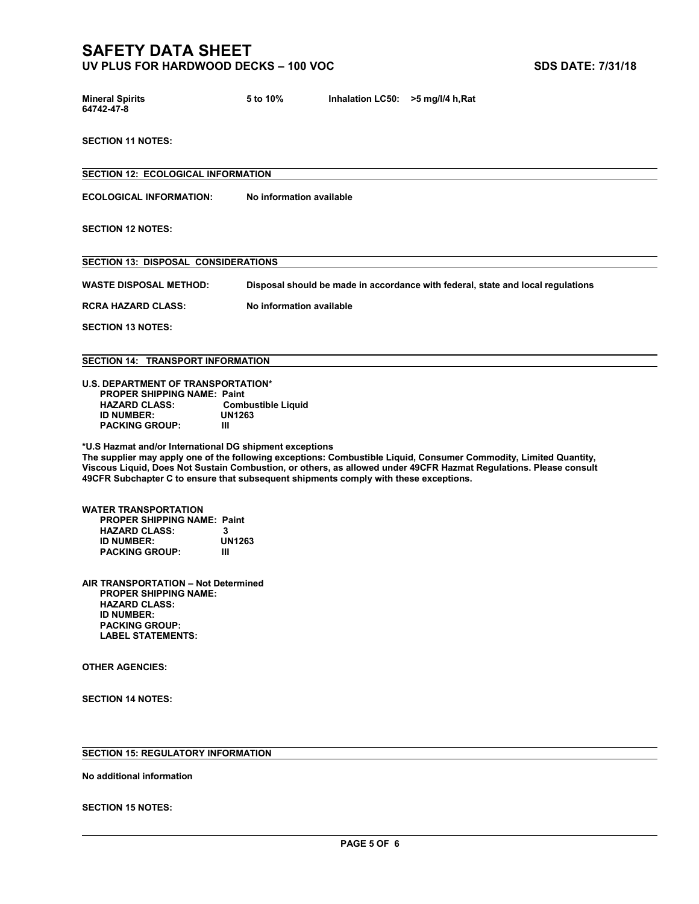### **SAFETY DATA SHEET UV PLUS FOR HARDWOOD DECKS – 100 VOC SDS DATE: 7/31/18**

| <b>Mineral Spirits</b> | 5 to 10% | Inhalation LC50: $>5$ mg/l/4 h, Rat |  |
|------------------------|----------|-------------------------------------|--|
| 64742-47-8             |          |                                     |  |

**SECTION 11 NOTES:**

**SECTION 12: ECOLOGICAL INFORMATION ECOLOGICAL INFORMATION: No information available SECTION 12 NOTES: SECTION 13: DISPOSAL CONSIDERATIONS WASTE DISPOSAL METHOD: Disposal should be made in accordance with federal, state and local regulations RCRA HAZARD CLASS: No information available SECTION 13 NOTES: SECTION 14: TRANSPORT INFORMATION U.S. DEPARTMENT OF TRANSPORTATION\* PROPER SHIPPING NAME: Paint Combustible Liquid**<br>UN1263 **ID** NUMBER: UN<br>PACKING GROUP: III

**PACKING GROUP: III\*U.S Hazmat and/or International DG shipment exceptions The supplier may apply one of the following exceptions: Combustible Liquid, Consumer Commodity, Limited Quantity, Viscous Liquid, Does Not Sustain Combustion,or others, as allowed under 49CFR Hazmat Regulations. Please consult 49CFR Subchapter C to ensure that subsequent shipments comply with these exceptions.**

**WATER TRANSPORTATION PROPER SHIPPING NAME: Paint HAZARD CLASS: 3 ID** NUMBER: UN<br>PACKING GROUP: III **PACKING GROUP: III**

**AIR TRANSPORTATION – Not Determined PROPER SHIPPING NAME: HAZARD CLASS: ID NUMBER: PACKING GROUP: LABEL STATEMENTS:**

**OTHER AGENCIES:**

**SECTION 14 NOTES:**

### **SECTION 15: REGULATORY INFORMATION**

**No additional information**

**SECTION 15 NOTES:**